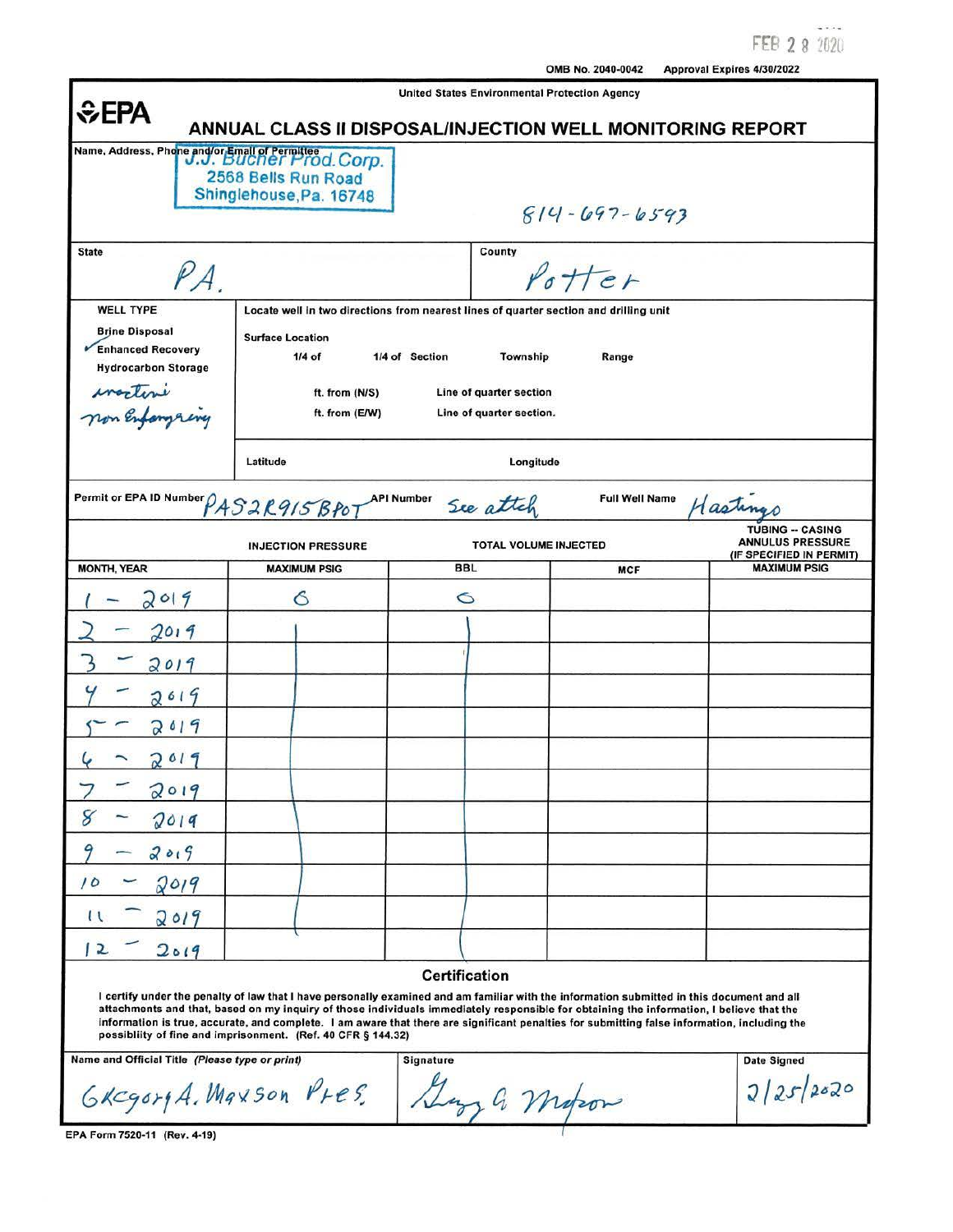FEB 2 8 2020

| <b>United States Environmental Protection Agency</b><br><b>SEPA</b><br>ANNUAL CLASS II DISPOSAL/INJECTION WELL MONITORING REPORT |                                                                                                           |                                           |                                                                                                                                                                                                                                                                                                                                                                                                                                        |                                                                                |  |
|----------------------------------------------------------------------------------------------------------------------------------|-----------------------------------------------------------------------------------------------------------|-------------------------------------------|----------------------------------------------------------------------------------------------------------------------------------------------------------------------------------------------------------------------------------------------------------------------------------------------------------------------------------------------------------------------------------------------------------------------------------------|--------------------------------------------------------------------------------|--|
|                                                                                                                                  | Name, Address, Phone and/or Email of Permittee d. Corp.<br>2568 Bells Run Road<br>Shinglehouse, Pa. 16748 |                                           | $814 - 697 - 6593$                                                                                                                                                                                                                                                                                                                                                                                                                     |                                                                                |  |
| <b>State</b><br>PA                                                                                                               |                                                                                                           | County                                    | Potter                                                                                                                                                                                                                                                                                                                                                                                                                                 |                                                                                |  |
| <b>WELL TYPE</b><br><b>Brine Disposal</b><br>Enhanced Recovery<br><b>Hydrocarbon Storage</b>                                     | <b>Surface Location</b><br>$1/4$ of<br>ft. from (N/S)                                                     | 1/4 of Section<br>Line of quarter section | Locate well in two directions from nearest lines of quarter section and drilling unit<br>Township<br>Range                                                                                                                                                                                                                                                                                                                             |                                                                                |  |
| worten                                                                                                                           | ft. from (E/W)                                                                                            | Line of quarter section.                  |                                                                                                                                                                                                                                                                                                                                                                                                                                        |                                                                                |  |
| Permit or EPA ID Number PAS2R915 BP07                                                                                            | Latitude                                                                                                  | <b>API Number</b><br>See attel            | Longitude<br><b>Full Well Name</b>                                                                                                                                                                                                                                                                                                                                                                                                     | Hasting                                                                        |  |
|                                                                                                                                  | <b>INJECTION PRESSURE</b>                                                                                 |                                           | <b>TOTAL VOLUME INJECTED</b>                                                                                                                                                                                                                                                                                                                                                                                                           | <b>TUBING -- CASING</b><br><b>ANNULUS PRESSURE</b><br>(IF SPECIFIED IN PERMIT) |  |
| <b>MONTH, YEAR</b>                                                                                                               | <b>MAXIMUM PSIG</b>                                                                                       | <b>BBL</b>                                | <b>MCF</b>                                                                                                                                                                                                                                                                                                                                                                                                                             | <b>MAXIMUM PSIG</b>                                                            |  |
| 019                                                                                                                              | G                                                                                                         | O                                         |                                                                                                                                                                                                                                                                                                                                                                                                                                        |                                                                                |  |
| 2019                                                                                                                             |                                                                                                           |                                           |                                                                                                                                                                                                                                                                                                                                                                                                                                        |                                                                                |  |
| 2019                                                                                                                             |                                                                                                           |                                           |                                                                                                                                                                                                                                                                                                                                                                                                                                        |                                                                                |  |
| 2019                                                                                                                             |                                                                                                           |                                           |                                                                                                                                                                                                                                                                                                                                                                                                                                        |                                                                                |  |
| 2019                                                                                                                             |                                                                                                           |                                           |                                                                                                                                                                                                                                                                                                                                                                                                                                        |                                                                                |  |
| 019                                                                                                                              |                                                                                                           |                                           |                                                                                                                                                                                                                                                                                                                                                                                                                                        |                                                                                |  |
| 2019                                                                                                                             |                                                                                                           |                                           |                                                                                                                                                                                                                                                                                                                                                                                                                                        |                                                                                |  |
| 2019                                                                                                                             |                                                                                                           |                                           |                                                                                                                                                                                                                                                                                                                                                                                                                                        |                                                                                |  |
|                                                                                                                                  |                                                                                                           |                                           |                                                                                                                                                                                                                                                                                                                                                                                                                                        |                                                                                |  |
| 2019<br>10                                                                                                                       |                                                                                                           |                                           |                                                                                                                                                                                                                                                                                                                                                                                                                                        |                                                                                |  |
| 2019                                                                                                                             |                                                                                                           |                                           |                                                                                                                                                                                                                                                                                                                                                                                                                                        |                                                                                |  |
| $\mathfrak{u}$<br>2019                                                                                                           |                                                                                                           |                                           |                                                                                                                                                                                                                                                                                                                                                                                                                                        |                                                                                |  |
| 2019<br>2                                                                                                                        |                                                                                                           | <b>Certification</b>                      |                                                                                                                                                                                                                                                                                                                                                                                                                                        |                                                                                |  |
|                                                                                                                                  | possibliity of fine and imprisonment. (Ref. 40 CFR § 144.32)                                              |                                           | I certify under the penalty of law that I have personally examined and am familiar with the information submitted in this document and all<br>attachments and that, based on my inquiry of those individuals immediately responsible for obtaining the information, I believe that the<br>information is true, accurate, and complete. I am aware that there are significant penalties for submitting false information, including the |                                                                                |  |
| Name and Official Title (Please type or print)<br><b>Signature</b><br>Date Signed                                                |                                                                                                           |                                           |                                                                                                                                                                                                                                                                                                                                                                                                                                        |                                                                                |  |
| GREGORY A. MAXSON PLES.                                                                                                          |                                                                                                           |                                           | 4 motor                                                                                                                                                                                                                                                                                                                                                                                                                                | 2/25/2020                                                                      |  |
| EPA Form 7520-11 (Rev. 4-19)                                                                                                     |                                                                                                           |                                           |                                                                                                                                                                                                                                                                                                                                                                                                                                        |                                                                                |  |